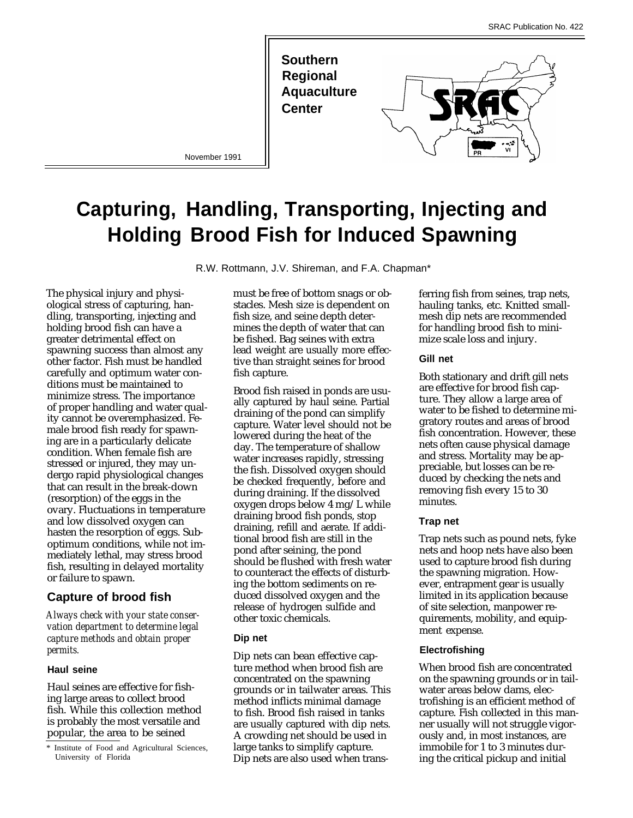

# **Capturing, Handling, Transporting, Injecting and Holding Brood Fish for Induced Spawning**

R.W. Rottmann, J.V. Shireman, and F.A. Chapman\*

The physical injury and physiological stress of capturing, handling, transporting, injecting and holding brood fish can have a greater detrimental effect on spawning success than almost any other factor. Fish must be handled carefully and optimum water conditions must be maintained to minimize stress. The importance of proper handling and water quality cannot be overemphasized. Female brood fish ready for spawning are in a particularly delicate condition. When female fish are stressed or injured, they may undergo rapid physiological changes that can result in the break-down (resorption) of the eggs in the ovary. Fluctuations in temperature and low dissolved oxygen can hasten the resorption of eggs. Suboptimum conditions, while not immediately lethal, may stress brood fish, resulting in delayed mortality or failure to spawn.

## **Capture of brood fish**

*Always check with your state conservation department to determine legal capture methods and obtain proper permits.*

#### **Haul seine**

Haul seines are effective for fishing large areas to collect brood fish. While this collection method is probably the most versatile and popular, the area to be seined

must be free of bottom snags or obstacles. Mesh size is dependent on fish size, and seine depth determines the depth of water that can be fished. Bag seines with extra lead weight are usually more effective than straight seines for brood fish capture.

Brood fish raised in ponds are usually captured by haul seine. Partial draining of the pond can simplify capture. Water level should not be lowered during the heat of the day. The temperature of shallow water increases rapidly, stressing the fish. Dissolved oxygen should be checked frequently, before and during draining. If the dissolved oxygen drops below 4 mg/L while draining brood fish ponds, stop draining, refill and aerate. If additional brood fish are still in the pond after seining, the pond should be flushed with fresh water to counteract the effects of disturbing the bottom sediments on reduced dissolved oxygen and the release of hydrogen sulfide and other toxic chemicals.

## **Dip net**

Dip nets can bean effective capture method when brood fish are concentrated on the spawning grounds or in tailwater areas. This method inflicts minimal damage to fish. Brood fish raised in tanks are usually captured with dip nets. A crowding net should be used in large tanks to simplify capture. Dip nets are also used when trans-

ferring fish from seines, trap nets, hauling tanks, etc. Knitted smallmesh dip nets are recommended for handling brood fish to minimize scale loss and injury.

#### **Gill net**

Both stationary and drift gill nets are effective for brood fish capture. They allow a large area of water to be fished to determine migratory routes and areas of brood fish concentration. However, these nets often cause physical damage and stress. Mortality may be appreciable, but losses can be reduced by checking the nets and removing fish every 15 to 30 minutes.

## **Trap net**

Trap nets such as pound nets, fyke nets and hoop nets have also been used to capture brood fish during the spawning migration. However, entrapment gear is usually limited in its application because of site selection, manpower requirements, mobility, and equipment expense.

## **Electrofishing**

When brood fish are concentrated on the spawning grounds or in tailwater areas below dams, electrofishing is an efficient method of capture. Fish collected in this manner usually will not struggle vigorously and, in most instances, are immobile for 1 to 3 minutes during the critical pickup and initial

Institute of Food and Agricultural Sciences, University of Florida